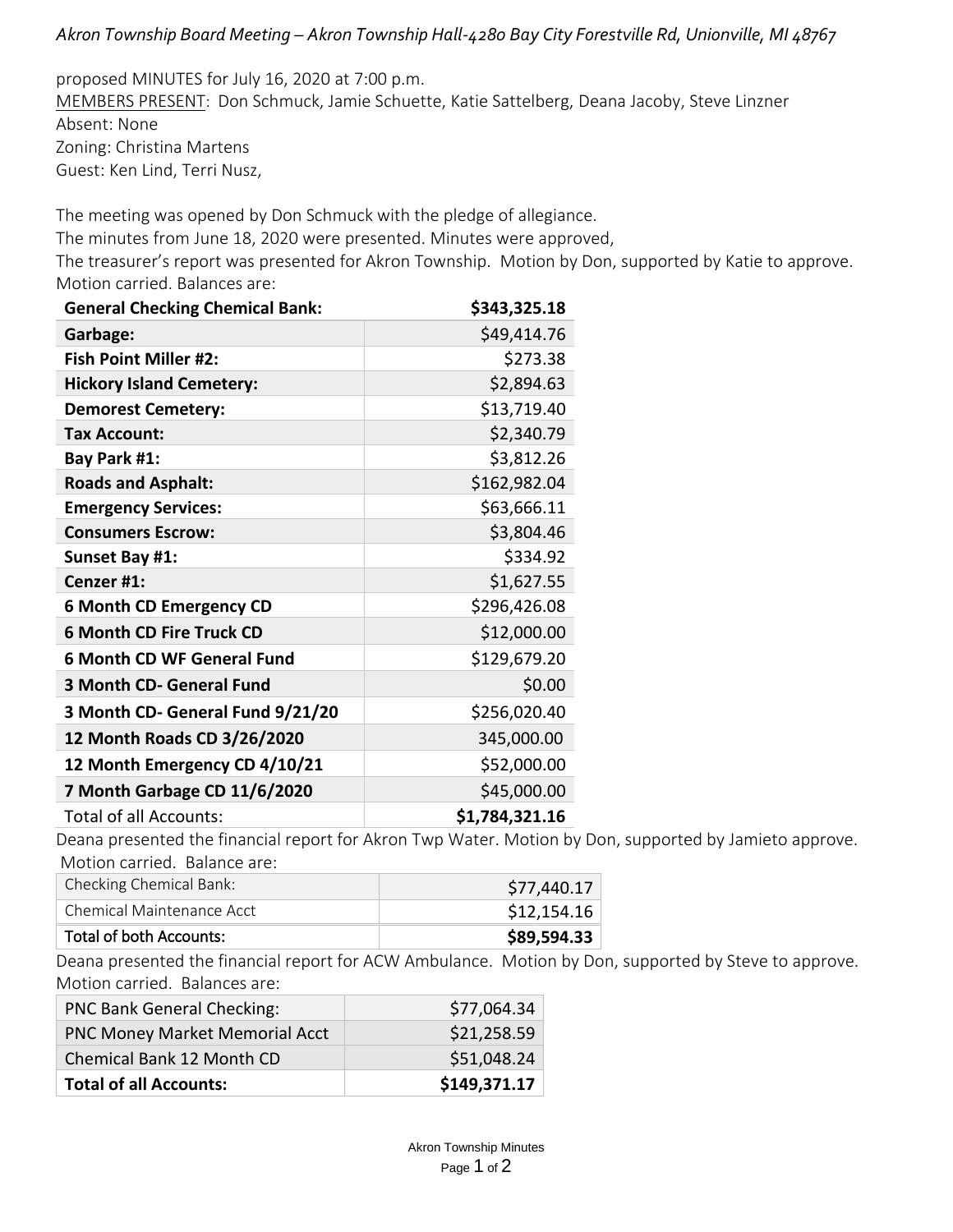## *Akron Township Board Meeting – Akron Township Hall-4280 Bay City Forestville Rd, Unionville, MI 48767*

proposed MINUTES for July 16, 2020 at 7:00 p.m. MEMBERS PRESENT: Don Schmuck, Jamie Schuette, Katie Sattelberg, Deana Jacoby, Steve Linzner Absent: None Zoning: Christina Martens Guest: Ken Lind, Terri Nusz,

The meeting was opened by Don Schmuck with the pledge of allegiance. The minutes from June 18, 2020 were presented. Minutes were approved, The treasurer's report was presented for Akron Township. Motion by Don, supported by Katie to approve. Motion carried. Balances are:

| <b>General Checking Chemical Bank:</b> | \$343,325.18   |
|----------------------------------------|----------------|
| Garbage:                               | \$49,414.76    |
| <b>Fish Point Miller #2:</b>           | \$273.38       |
| <b>Hickory Island Cemetery:</b>        | \$2,894.63     |
| <b>Demorest Cemetery:</b>              | \$13,719.40    |
| Tax Account:                           | \$2,340.79     |
| Bay Park #1:                           | \$3,812.26     |
| <b>Roads and Asphalt:</b>              | \$162,982.04   |
| <b>Emergency Services:</b>             | \$63,666.11    |
| <b>Consumers Escrow:</b>               | \$3,804.46     |
| Sunset Bay #1:                         | \$334.92       |
| Cenzer #1:                             | \$1,627.55     |
| <b>6 Month CD Emergency CD</b>         | \$296,426.08   |
| <b>6 Month CD Fire Truck CD</b>        | \$12,000.00    |
| <b>6 Month CD WF General Fund</b>      | \$129,679.20   |
| 3 Month CD- General Fund               | \$0.00         |
| 3 Month CD- General Fund 9/21/20       | \$256,020.40   |
| 12 Month Roads CD 3/26/2020            | 345,000.00     |
| 12 Month Emergency CD 4/10/21          | \$52,000.00    |
| 7 Month Garbage CD 11/6/2020           | \$45,000.00    |
| Total of all Accounts:                 | \$1,784,321.16 |

Deana presented the financial report for Akron Twp Water. Motion by Don, supported by Jamieto approve. Motion carried. Balance are:

| Checking Chemical Bank:   | \$77,440.17 |
|---------------------------|-------------|
| Chemical Maintenance Acct | \$12,154.16 |
| Total of both Accounts:   | \$89,594.33 |

Deana presented the financial report for ACW Ambulance. Motion by Don, supported by Steve to approve. Motion carried. Balances are:

| <b>PNC Bank General Checking:</b>     | \$77,064.34  |
|---------------------------------------|--------------|
| <b>PNC Money Market Memorial Acct</b> | \$21,258.59  |
| Chemical Bank 12 Month CD             | \$51,048.24  |
| <b>Total of all Accounts:</b>         | \$149,371.17 |